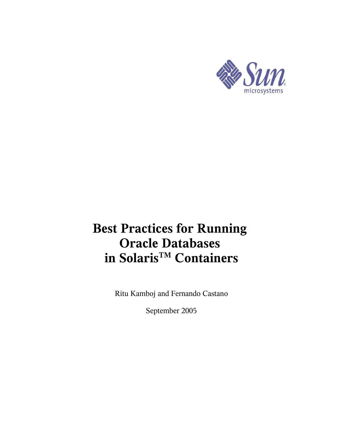

# **Best Practices for Running Oracle Databases in SolarisTM Containers**

Ritu Kamboj and Fernando Castano

September 2005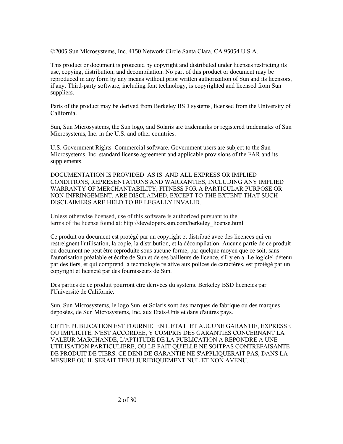©2005 Sun Microsystems, Inc. 4150 Network Circle Santa Clara, CA 95054 U.S.A.

This product or document is protected by copyright and distributed under licenses restricting its use, copying, distribution, and decompilation. No part of this product or document may be reproduced in any form by any means without prior written authorization of Sun and its licensors, if any. Third-party software, including font technology, is copyrighted and licensed from Sun suppliers.

Parts of the product may be derived from Berkeley BSD systems, licensed from the University of California.

Sun, Sun Microsystems, the Sun logo, and Solaris are trademarks or registered trademarks of Sun Microsystems, Inc. in the U.S. and other countries.

U.S. Government Rights Commercial software. Government users are subject to the Sun Microsystems, Inc. standard license agreement and applicable provisions of the FAR and its supplements.

DOCUMENTATION IS PROVIDED AS IS AND ALL EXPRESS OR IMPLIED CONDITIONS, REPRESENTATIONS AND WARRANTIES, INCLUDING ANY IMPLIED WARRANTY OF MERCHANTABILITY, FITNESS FOR A PARTICULAR PURPOSE OR NON-INFRINGEMENT, ARE DISCLAIMED, EXCEPT TO THE EXTENT THAT SUCH DISCLAIMERS ARE HELD TO BE LEGALLY INVALID.

Unless otherwise licensed, use of this software is authorized pursuant to the terms of the license found at: http://developers.sun.com/berkeley\_license.html

Ce produit ou document est protégé par un copyright et distribué avec des licences qui en restreignent l'utilisation, la copie, la distribution, et la décompilation. Aucune partie de ce produit ou document ne peut être reproduite sous aucune forme, par quelque moyen que ce soit, sans l'autorisation préalable et écrite de Sun et de ses bailleurs de licence, s'il y en a. Le logiciel détenu par des tiers, et qui comprend la technologie relative aux polices de caractères, est protégé par un copyright et licencié par des fournisseurs de Sun.

Des parties de ce produit pourront être dérivées du système Berkeley BSD licenciés par l'Université de Californie.

Sun, Sun Microsystems, le logo Sun, et Solaris sont des marques de fabrique ou des marques déposées, de Sun Microsystems, Inc. aux Etats-Unis et dans d'autres pays.

CETTE PUBLICATION EST FOURNIE EN L'ETAT ET AUCUNE GARANTIE, EXPRESSE OU IMPLICITE, N'EST ACCORDEE, Y COMPRIS DES GARANTIES CONCERNANT LA VALEUR MARCHANDE, L'APTITUDE DE LA PUBLICATION A REPONDRE A UNE UTILISATION PARTICULIERE, OU LE FAIT QU'ELLE NE SOITPAS CONTREFAISANTE DE PRODUIT DE TIERS. CE DENI DE GARANTIE NE S'APPLIQUERAIT PAS, DANS LA MESURE OU IL SERAIT TENU JURIDIQUEMENT NUL ET NON AVENU.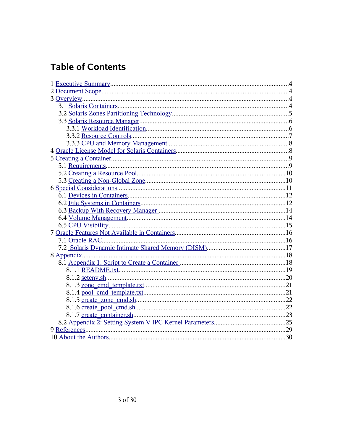## **Table of Contents**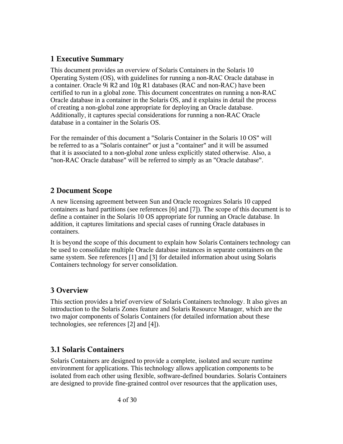#### **1 Executive Summary**

This document provides an overview of Solaris Containers in the Solaris 10 Operating System (OS), with guidelines for running a non-RAC Oracle database in a container. Oracle 9i R2 and 10g R1 databases (RAC and non-RAC) have been certified to run in a global zone. This document concentrates on running a non-RAC Oracle database in a container in the Solaris OS, and it explains in detail the process of creating a non-global zone appropriate for deploying an Oracle database. Additionally, it captures special considerations for running a non-RAC Oracle database in a container in the Solaris OS.

For the remainder of this document a "Solaris Container in the Solaris 10 OS" will be referred to as a "Solaris container" or just a "container" and it will be assumed that it is associated to a non-global zone unless explicitly stated otherwise. Also, a "non-RAC Oracle database" will be referred to simply as an "Oracle database".

## **2 Document Scope**

A new licensing agreement between Sun and Oracle recognizes Solaris 10 capped containers as hard partitions (see references [6] and [7]). The scope of this document is to define a container in the Solaris 10 OS appropriate for running an Oracle database. In addition, it captures limitations and special cases of running Oracle databases in containers.

It is beyond the scope of this document to explain how Solaris Containers technology can be used to consolidate multiple Oracle database instances in separate containers on the same system. See references [1] and [3] for detailed information about using Solaris Containers technology for server consolidation.

## **3 Overview**

This section provides a brief overview of Solaris Containers technology. It also gives an introduction to the Solaris Zones feature and Solaris Resource Manager, which are the two major components of Solaris Containers (for detailed information about these technologies, see references [2] and [4]).

## **3.1 Solaris Containers**

Solaris Containers are designed to provide a complete, isolated and secure runtime environment for applications. This technology allows application components to be isolated from each other using flexible, software-defined boundaries. Solaris Containers are designed to provide fine-grained control over resources that the application uses,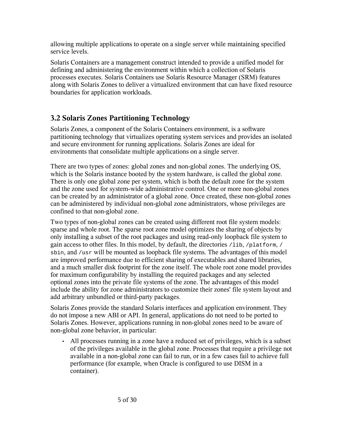allowing multiple applications to operate on a single server while maintaining specified service levels.

Solaris Containers are a management construct intended to provide a unified model for defining and administering the environment within which a collection of Solaris processes executes. Solaris Containers use Solaris Resource Manager (SRM) features along with Solaris Zones to deliver a virtualized environment that can have fixed resource boundaries for application workloads.

## **3.2 Solaris Zones Partitioning Technology**

Solaris Zones, a component of the Solaris Containers environment, is a software partitioning technology that virtualizes operating system services and provides an isolated and secure environment for running applications. Solaris Zones are ideal for environments that consolidate multiple applications on a single server.

There are two types of zones: global zones and non-global zones. The underlying OS, which is the Solaris instance booted by the system hardware, is called the global zone. There is only one global zone per system, which is both the default zone for the system and the zone used for system-wide administrative control. One or more non-global zones can be created by an administrator of a global zone. Once created, these non-global zones can be administered by individual non-global zone administrators, whose privileges are confined to that non-global zone.

Two types of non-global zones can be created using different root file system models: sparse and whole root. The sparse root zone model optimizes the sharing of objects by only installing a subset of the root packages and using read-only loopback file system to gain access to other files. In this model, by default, the directories  $/1$ ib,  $/$ platform,  $/$ sbin, and /usr will be mounted as loopback file systems. The advantages of this model are improved performance due to efficient sharing of executables and shared libraries, and a much smaller disk footprint for the zone itself. The whole root zone model provides for maximum configurability by installing the required packages and any selected optional zones into the private file systems of the zone. The advantages of this model include the ability for zone administrators to customize their zones' file system layout and add arbitrary unbundled or third-party packages.

Solaris Zones provide the standard Solaris interfaces and application environment. They do not impose a new ABI or API. In general, applications do not need to be ported to Solaris Zones. However, applications running in non-global zones need to be aware of non-global zone behavior, in particular:

• All processes running in a zone have a reduced set of privileges, which is a subset of the privileges available in the global zone. Processes that require a privilege not available in a non-global zone can fail to run, or in a few cases fail to achieve full performance (for example, when Oracle is configured to use DISM in a container).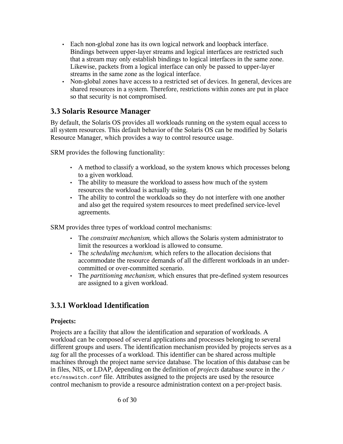- Each non-global zone has its own logical network and loopback interface. Bindings between upper-layer streams and logical interfaces are restricted such that a stream may only establish bindings to logical interfaces in the same zone. Likewise, packets from a logical interface can only be passed to upper-layer streams in the same zone as the logical interface.
- Non-global zones have access to a restricted set of devices. In general, devices are shared resources in a system. Therefore, restrictions within zones are put in place so that security is not compromised.

#### **3.3 Solaris Resource Manager**

By default, the Solaris OS provides all workloads running on the system equal access to all system resources. This default behavior of the Solaris OS can be modified by Solaris Resource Manager, which provides a way to control resource usage.

SRM provides the following functionality:

- A method to classify a workload, so the system knows which processes belong to a given workload.
- The ability to measure the workload to assess how much of the system resources the workload is actually using.
- The ability to control the workloads so they do not interfere with one another and also get the required system resources to meet predefined service-level agreements.

SRM provides three types of workload control mechanisms:

- The *constraint mechanism,* which allows the Solaris system administrator to limit the resources a workload is allowed to consume.
- The *scheduling mechanism,* which refers to the allocation decisions that accommodate the resource demands of all the different workloads in an undercommitted or over-committed scenario.
- The *partitioning mechanism,* which ensures that pre-defined system resources are assigned to a given workload.

## **3.3.1 Workload Identification**

#### **Projects:**

Projects are a facility that allow the identification and separation of workloads. A workload can be composed of several applications and processes belonging to several different groups and users. The identification mechanism provided by projects serves as a *tag* for all the processes of a workload. This identifier can be shared across multiple machines through the project name service database. The location of this database can be in files, NIS, or LDAP, depending on the definition of *projects* database source in the / etc/nsswitch.conf file. Attributes assigned to the projects are used by the resource control mechanism to provide a resource administration context on a per-project basis.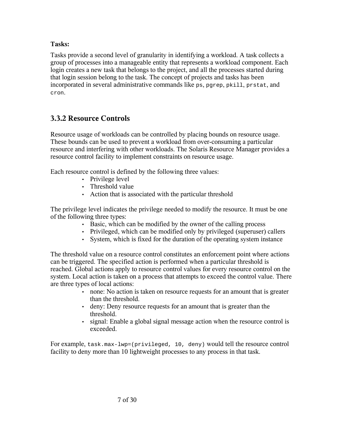#### **Tasks:**

Tasks provide a second level of granularity in identifying a workload. A task collects a group of processes into a manageable entity that represents a workload component. Each login creates a new task that belongs to the project, and all the processes started during that login session belong to the task. The concept of projects and tasks has been incorporated in several administrative commands like ps, pgrep, pkill, prstat, and cron.

## **3.3.2 Resource Controls**

Resource usage of workloads can be controlled by placing bounds on resource usage. These bounds can be used to prevent a workload from over-consuming a particular resource and interfering with other workloads. The Solaris Resource Manager provides a resource control facility to implement constraints on resource usage.

Each resource control is defined by the following three values:

- Privilege level
- Threshold value
- Action that is associated with the particular threshold

The privilege level indicates the privilege needed to modify the resource. It must be one of the following three types:

- Basic, which can be modified by the owner of the calling process
- Privileged, which can be modified only by privileged (superuser) callers
- System, which is fixed for the duration of the operating system instance

The threshold value on a resource control constitutes an enforcement point where actions can be triggered. The specified action is performed when a particular threshold is reached. Global actions apply to resource control values for every resource control on the system. Local action is taken on a process that attempts to exceed the control value. There are three types of local actions:

- none: No action is taken on resource requests for an amount that is greater than the threshold.
- deny: Deny resource requests for an amount that is greater than the threshold.
- signal: Enable a global signal message action when the resource control is exceeded.

For example, task.max-lwp=(privileged, 10, deny) would tell the resource control facility to deny more than 10 lightweight processes to any process in that task.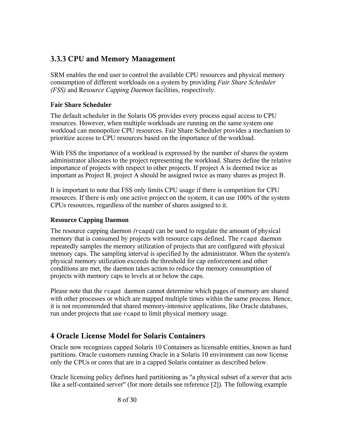## **3.3.3 CPU and Memory Management**

SRM enables the end user to control the available CPU resources and physical memory consumption of different workloads on a system by providing *Fair Share Scheduler (FSS)* and R*esource Capping Daemon* facilities, respectively.

#### **Fair Share Scheduler**

The default scheduler in the Solaris OS provides every process equal access to CPU resources. However, when multiple workloads are running on the same system one workload can monopolize CPU resources. Fair Share Scheduler provides a mechanism to prioritize access to CPU resources based on the importance of the workload.

With FSS the importance of a workload is expressed by the number of shares the system administrator allocates to the project representing the workload. Shares define the relative importance of projects with respect to other projects. If project A is deemed twice as important as Project B, project A should be assigned twice as many shares as project B.

It is important to note that FSS only limits CPU usage if there is competition for CPU resources. If there is only one active project on the system, it can use 100% of the system CPUs resources, regardless of the number of shares assigned to it.

#### **Resource Capping Daemon**

The resource capping daemon *(*rcapd*)* can be used to regulate the amount of physical memory that is consumed by projects with resource caps defined. The reapd daemon repeatedly samples the memory utilization of projects that are configured with physical memory caps. The sampling interval is specified by the administrator. When the system's physical memory utilization exceeds the threshold for cap enforcement and other conditions are met, the daemon takes action to reduce the memory consumption of projects with memory caps to levels at or below the caps.

Please note that the rcapd daemon cannot determine which pages of memory are shared with other processes or which are mapped multiple times within the same process. Hence, it is not recommended that shared memory-intensive applications, like Oracle databases, run under projects that use rcapd to limit physical memory usage.

#### **4 Oracle License Model for Solaris Containers**

Oracle now recognizes capped Solaris 10 Containers as licensable entities, known as hard partitions. Oracle customers running Oracle in a Solaris 10 environment can now license only the CPUs or cores that are in a capped Solaris container as described below.

Oracle licensing policy defines hard partitioning as "a physical subset of a server that acts like a self-contained server" (for more details see reference [2]). The following example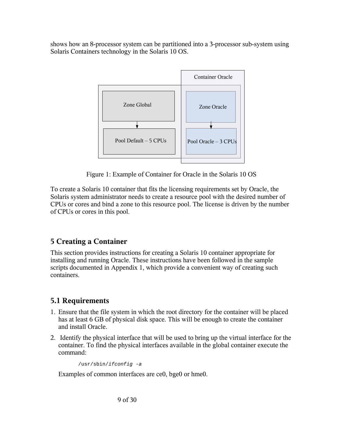shows how an 8-processor system can be partitioned into a 3-processor sub-system using Solaris Containers technology in the Solaris 10 OS.



Figure 1: Example of Container for Oracle in the Solaris 10 OS

To create a Solaris 10 container that fits the licensing requirements set by Oracle, the Solaris system administrator needs to create a resource pool with the desired number of CPUs or cores and bind a zone to this resource pool. The license is driven by the number of CPUs or cores in this pool.

## **5 Creating a Container**

This section provides instructions for creating a Solaris 10 container appropriate for installing and running Oracle. These instructions have been followed in the sample scripts documented in Appendix 1, which provide a convenient way of creating such containers.

## **5.1 Requirements**

- 1. Ensure that the file system in which the root directory for the container will be placed has at least 6 GB of physical disk space. This will be enough to create the container and install Oracle.
- 2. Identify the physical interface that will be used to bring up the virtual interface for the container. To find the physical interfaces available in the global container execute the command:

```
/usr/sbin/ifconfig -a
```
Examples of common interfaces are ce0, bge0 or hme0.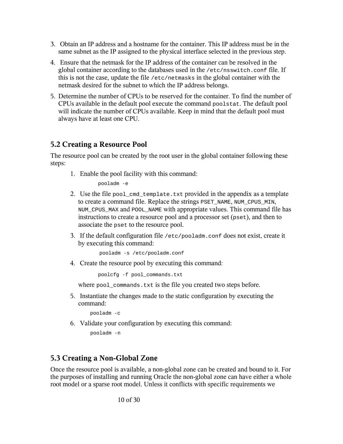- 3. Obtain an IP address and a hostname for the container. This IP address must be in the same subnet as the IP assigned to the physical interface selected in the previous step.
- 4. Ensure that the netmask for the IP address of the container can be resolved in the global container according to the databases used in the  $/etc/$ nsswitch.conf file. If this is not the case, update the file /etc/netmasks in the global container with the netmask desired for the subnet to which the IP address belongs.
- 5. Determine the number of CPUs to be reserved for the container. To find the number of CPUs available in the default pool execute the command poolstat. The default pool will indicate the number of CPUs available. Keep in mind that the default pool must always have at least one CPU.

## **5.2 Creating a Resource Pool**

The resource pool can be created by the root user in the global container following these steps:

1. Enable the pool facility with this command:

pooladm -e

- 2. Use the file pool\_cmd\_template.txt provided in the appendix as a template to create a command file. Replace the strings PSET\_NAME, NUM\_CPUS\_MIN, NUM\_CPUS\_MAX and POOL\_NAME with appropriate values. This command file has instructions to create a resource pool and a processor set (pset), and then to associate the pset to the resource pool.
- 3. If the default configuration file /etc/pooladm.conf does not exist, create it by executing this command:

pooladm -s /etc/pooladm.conf

4. Create the resource pool by executing this command:

poolcfg -f pool\_commands.txt

where pool commands.txt is the file you created two steps before.

5. Instantiate the changes made to the static configuration by executing the command:

pooladm -c

6. Validate your configuration by executing this command:

pooladm -n

#### **5.3 Creating a Non-Global Zone**

Once the resource pool is available, a non-global zone can be created and bound to it. For the purposes of installing and running Oracle the non-global zone can have either a whole root model or a sparse root model. Unless it conflicts with specific requirements we

10 of 30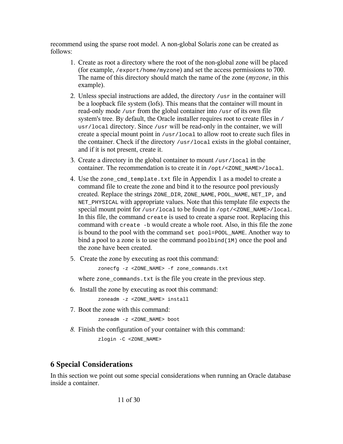recommend using the sparse root model. A non-global Solaris zone can be created as follows:

- 1. Create as root a directory where the root of the non-global zone will be placed (for example, /export/home/myzone) and set the access permissions to 700. The name of this directory should match the name of the zone (*myzone*, in this example).
- 2. Unless special instructions are added, the directory  $/$ usr in the container will be a loopback file system (lofs). This means that the container will mount in read-only mode /usr from the global container into /usr of its own file system's tree. By default, the Oracle installer requires root to create files in / usr/local directory. Since /usr will be read-only in the container, we will create a special mount point in /usr/local to allow root to create such files in the container. Check if the directory /usr/local exists in the global container, and if it is not present, create it.
- 3. Create a directory in the global container to mount /usr/local in the container. The recommendation is to create it in /opt/<ZONE\_NAME>/local.
- 4. Use the zone cmd template.txt file in Appendix 1 as a model to create a command file to create the zone and bind it to the resource pool previously created. Replace the strings ZONE\_DIR, ZONE\_NAME, POOL\_NAME, NET\_IP, and NET\_PHYSICAL with appropriate values. Note that this template file expects the special mount point for /usr/local to be found in /opt/<ZONE\_NAME>/local. In this file, the command create is used to create a sparse root. Replacing this command with create -b would create a whole root. Also, in this file the zone is bound to the pool with the command set pool=POOL\_NAME. Another way to bind a pool to a zone is to use the command poolbind(1M) once the pool and the zone have been created.
- 5. Create the zone by executing as root this command:

zonecfg -z <ZONE\_NAME> -f zone\_commands.txt

where zone\_commands.txt is the file you create in the previous step.

6. Install the zone by executing as root this command:

zoneadm -z <ZONE\_NAME> install

7. Boot the zone with this command:

```
zoneadm -z <ZONE NAME> boot
```
*8.* Finish the configuration of your container with this command:

zlogin -C <ZONE\_NAME>

## **6 Special Considerations**

In this section we point out some special considerations when running an Oracle database inside a container.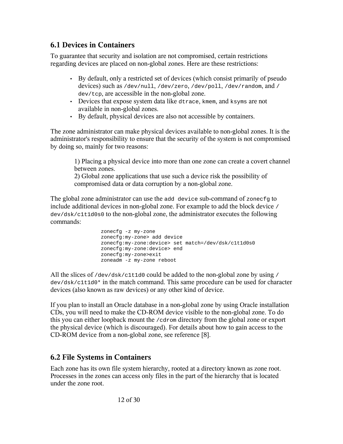#### **6.1 Devices in Containers**

To guarantee that security and isolation are not compromised, certain restrictions regarding devices are placed on non-global zones. Here are these restrictions:

- By default, only a restricted set of devices (which consist primarily of pseudo devices) such as /dev/null, /dev/zero, /dev/poll, /dev/random, and / dev/tcp, are accessible in the non-global zone.
- Devices that expose system data like dtrace, kmem, and ksyms are not available in non-global zones.
- By default, physical devices are also not accessible by containers.

The zone administrator can make physical devices available to non-global zones. It is the administrator's responsibility to ensure that the security of the system is not compromised by doing so, mainly for two reasons:

1) Placing a physical device into more than one zone can create a covert channel between zones.

2) Global zone applications that use such a device risk the possibility of compromised data or data corruption by a non-global zone.

The global zone administrator can use the add device sub-command of zonecfg to include additional devices in non-global zone. For example to add the block device / dev/dsk/c1t1d0s0 to the non-global zone, the administrator executes the following commands:

```
zonecfg -z my-zone
zonecfg:my-zone> add device
zonecfg:my-zone:device> set match=/dev/dsk/c1t1d0s0
zonecfg:my-zone:device> end
zonecfg:my-zone>exit
zoneadm -z my-zone reboot
```
All the slices of /dev/dsk/c1t1d0 could be added to the non-global zone by using / dev/dsk/c1t1d0\* in the match command. This same procedure can be used for character devices (also known as raw devices) or any other kind of device.

If you plan to install an Oracle database in a non-global zone by using Oracle installation CDs, you will need to make the CD-ROM device visible to the non-global zone. To do this you can either loopback mount the /cdrom directory from the global zone or export the physical device (which is discouraged). For details about how to gain access to the CD-ROM device from a non-global zone, see reference [8].

## **6.2 File Systems in Containers**

Each zone has its own file system hierarchy, rooted at a directory known as zone root. Processes in the zones can access only files in the part of the hierarchy that is located under the zone root.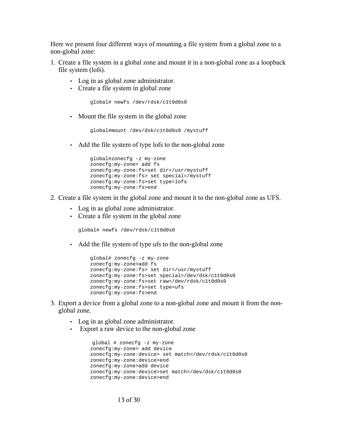Here we present four different ways of mounting a file system from a global zone to a non-global zone:

- 1. Create a file system in a global zone and mount it in a non-global zone as a loopback file system (lofs).
	- Log in as global zone administrator.
	- Create a file system in global zone

global# newfs /dev/rdsk/c1t0d0s0

• Mount the file system in the global zone

```
global#mount /dev/dsk/c1t0d0s0 /mystuff
```
• Add the file system of type lofs to the non-global zone

```
global#zonecfg -z my-zone 
zonecfg:my-zone> add fs
zonecfg:my-zone:fs>set dir=/usr/mystuff 
zonecfg:my-zone:fs> set special=/mystuff 
zonecfg:my-zone:fs>set type=lofs 
zonecfg:my-zone:fs>end
```
- 2. Create a file system in the global zone and mount it to the non-global zone as UFS.
	- Log in as global zone administrator.
	- Create a file system in the global zone

global# newfs /dev/rdsk/c1t0d0s0

• Add the file system of type ufs to the non-global zone

```
global# zonecfg -z my-zone 
zonecfg:my-zone>add fs 
zonecfg:my-zone:fs> set dir=/usr/mystuff 
zonecfg:my-zone:fs>set special=/dev/dsk/c1t0d0s0 
zonecfg:my-zone:fs>set raw=/dev/rdsk/c1t0d0s0 
zonecfg:my-zone:fs>set type=ufs 
zonecfg:my-zone:fs>end
```
- 3. Export a device from a global zone to a non-global zone and mount it from the nonglobal zone.
	- Log in as global zone administrator.
	- Export a raw device to the non-global zone

```
 global # zonecfg -z my-zone 
zonecfg:my-zone> add device 
zonecfg:my-zone:device> set match=/dev/rdsk/c1t0d0s0 
zonecfg:my-zone:device>end 
zonecfg:my-zone>add device 
zonecfg:my-zone:device>set match=/dev/dsk/c1t0d0s0 
zonecfg:my-zone:device>end
```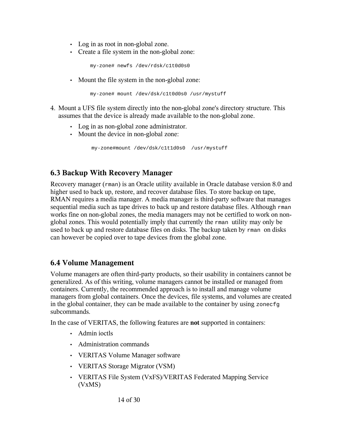- Log in as root in non-global zone.
- Create a file system in the non-global zone:

```
my-zone# newfs /dev/rdsk/c1t0d0s0
```
• Mount the file system in the non-global zone:

my-zone# mount /dev/dsk/c1t0d0s0 /usr/mystuff

- 4. Mount a UFS file system directly into the non-global zone's directory structure. This assumes that the device is already made available to the non-global zone.
	- Log in as non-global zone administrator.
	- Mount the device in non-global zone:

```
my-zone#mount /dev/dsk/c1t1d0s0 /usr/mystuff
```
## **6.3 Backup With Recovery Manager**

Recovery manager (rman) is an Oracle utility available in Oracle database version 8.0 and higher used to back up, restore, and recover database files. To store backup on tape, RMAN requires a media manager. A media manager is third-party software that manages sequential media such as tape drives to back up and restore database files. Although rman works fine on non-global zones, the media managers may not be certified to work on nonglobal zones. This would potentially imply that currently the rman utility may only be used to back up and restore database files on disks. The backup taken by rman on disks can however be copied over to tape devices from the global zone.

#### **6.4 Volume Management**

Volume managers are often third-party products, so their usability in containers cannot be generalized. As of this writing, volume managers cannot be installed or managed from containers. Currently, the recommended approach is to install and manage volume managers from global containers. Once the devices, file systems, and volumes are created in the global container, they can be made available to the container by using zonecfg subcommands.

In the case of VERITAS, the following features are **not** supported in containers:

- Admin ioctls
- Administration commands
- VERITAS Volume Manager software
- VERITAS Storage Migrator (VSM)
- VERITAS File System (VxFS)/VERITAS Federated Mapping Service (VxMS)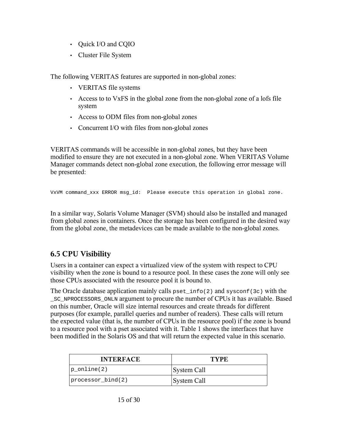- Quick I/O and CQIO
- Cluster File System

The following VERITAS features are supported in non-global zones:

- VERITAS file systems
- Access to to VxFS in the global zone from the non-global zone of a lofs file system
- Access to ODM files from non-global zones
- Concurrent I/O with files from non-global zones

VERITAS commands will be accessible in non-global zones, but they have been modified to ensure they are not executed in a non-global zone. When VERITAS Volume Manager commands detect non-global zone execution, the following error message will be presented:

VxVM command\_xxx ERROR msg\_id: Please execute this operation in global zone.

In a similar way, Solaris Volume Manager (SVM) should also be installed and managed from global zones in containers. Once the storage has been configured in the desired way from the global zone, the metadevices can be made available to the non-global zones.

## **6.5 CPU Visibility**

Users in a container can expect a virtualized view of the system with respect to CPU visibility when the zone is bound to a resource pool. In these cases the zone will only see those CPUs associated with the resource pool it is bound to.

The Oracle database application mainly calls pset  $info(2)$  and sysconf(3c) with the \_SC\_NPROCESSORS\_ONLN argument to procure the number of CPUs it has available. Based on this number, Oracle will size internal resources and create threads for different purposes (for example, parallel queries and number of readers). These calls will return the expected value (that is, the number of CPUs in the resource pool) if the zone is bound to a resource pool with a pset associated with it. Table 1 shows the interfaces that have been modified in the Solaris OS and that will return the expected value in this scenario.

| <b>INTERFACE</b>    | TYPE.       |  |
|---------------------|-------------|--|
| p online(2)         | System Call |  |
| processor $bind(2)$ | System Call |  |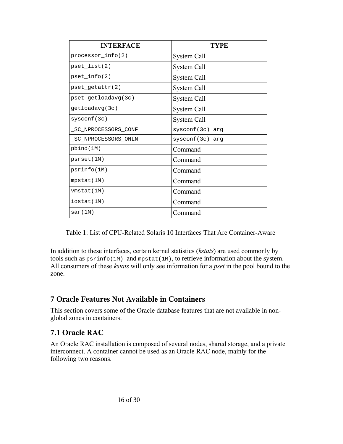| <b>INTERFACE</b>    | TYPE.             |
|---------------------|-------------------|
| processor $info(2)$ | System Call       |
| pset list(2)        | System Call       |
| pset $info(2)$      | System Call       |
| pset_getattr(2)     | System Call       |
| pset getloadavg(3c) | System Call       |
| getloadavg(3c)      | System Call       |
| systemf(3c)         | System Call       |
| SC NPROCESSORS CONF | $systemf(3c)$ arg |
| SC NPROCESSORS ONLN | $systemf(3c)$ arg |
| pbind(1M)           | Command           |
| psrset(1M)          | Command           |
| psrinfo(1M)         | Command           |
| mpstat(1M)          | Command           |
| vmstat(1M)          | Command           |
| iostat (1M)         | Command           |
| sar(1M)             | Command           |

Table 1: List of CPU-Related Solaris 10 Interfaces That Are Container-Aware

In addition to these interfaces, certain kernel statistics (*kstats*) are used commonly by tools such as  $psrinfo(1M)$  and mpstat(1M), to retrieve information about the system. All consumers of these *kstats* will only see information for a *pset* in the pool bound to the zone.

## **7 Oracle Features Not Available in Containers**

This section covers some of the Oracle database features that are not available in nonglobal zones in containers.

## **7.1 Oracle RAC**

An Oracle RAC installation is composed of several nodes, shared storage, and a private interconnect. A container cannot be used as an Oracle RAC node, mainly for the following two reasons.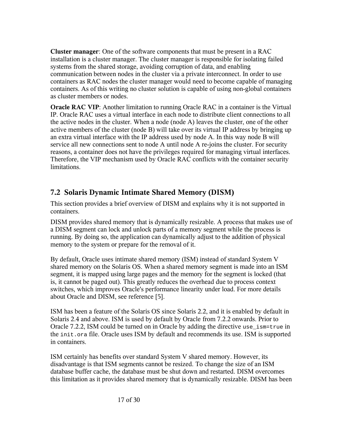**Cluster manager**: One of the software components that must be present in a RAC installation is a cluster manager. The cluster manager is responsible for isolating failed systems from the shared storage, avoiding corruption of data, and enabling communication between nodes in the cluster via a private interconnect. In order to use containers as RAC nodes the cluster manager would need to become capable of managing containers. As of this writing no cluster solution is capable of using non-global containers as cluster members or nodes.

**Oracle RAC VIP:** Another limitation to running Oracle RAC in a container is the Virtual IP. Oracle RAC uses a virtual interface in each node to distribute client connections to all the active nodes in the cluster. When a node (node A) leaves the cluster, one of the other active members of the cluster (node B) will take over its virtual IP address by bringing up an extra virtual interface with the IP address used by node A. In this way node B will service all new connections sent to node A until node A re-joins the cluster. For security reasons, a container does not have the privileges required for managing virtual interfaces. Therefore, the VIP mechanism used by Oracle RAC conflicts with the container security limitations.

## **7.2 Solaris Dynamic Intimate Shared Memory (DISM)**

This section provides a brief overview of DISM and explains why it is not supported in containers.

DISM provides shared memory that is dynamically resizable. A process that makes use of a DISM segment can lock and unlock parts of a memory segment while the process is running. By doing so, the application can dynamically adjust to the addition of physical memory to the system or prepare for the removal of it.

By default, Oracle uses intimate shared memory (ISM) instead of standard System V shared memory on the Solaris OS. When a shared memory segment is made into an ISM segment, it is mapped using large pages and the memory for the segment is locked (that is, it cannot be paged out). This greatly reduces the overhead due to process context switches, which improves Oracle's performance linearity under load. For more details about Oracle and DISM, see reference [5].

ISM has been a feature of the Solaris OS since Solaris 2.2, and it is enabled by default in Solaris 2.4 and above. ISM is used by default by Oracle from 7.2.2 onwards. Prior to Oracle 7.2.2, ISM could be turned on in Oracle by adding the directive use\_ism=true in the init.ora file. Oracle uses ISM by default and recommends its use. ISM is supported in containers.

ISM certainly has benefits over standard System V shared memory. However, its disadvantage is that ISM segments cannot be resized. To change the size of an ISM database buffer cache, the database must be shut down and restarted. DISM overcomes this limitation as it provides shared memory that is dynamically resizable. DISM has been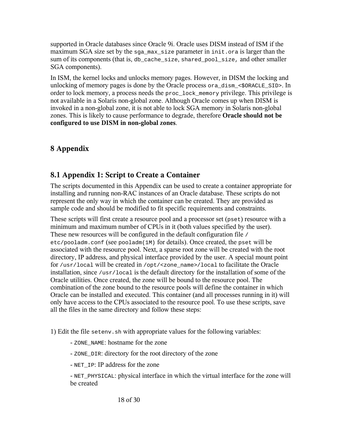supported in Oracle databases since Oracle 9i. Oracle uses DISM instead of ISM if the maximum SGA size set by the  $sga_max_size$  parameter in init.ora is larger than the sum of its components (that is, db cache size, shared pool size, and other smaller SGA components).

In ISM, the kernel locks and unlocks memory pages. However, in DISM the locking and unlocking of memory pages is done by the Oracle process ora\_dism\_<\$ORACLE\_SID>. In order to lock memory, a process needs the proc\_lock\_memory privilege. This privilege is not available in a Solaris non-global zone. Although Oracle comes up when DISM is invoked in a non-global zone, it is not able to lock SGA memory in Solaris non-global zones. This is likely to cause performance to degrade, therefore **Oracle should not be configured to use DISM in non-global zones**.

## **8 Appendix**

## **8.1 Appendix 1: Script to Create a Container**

The scripts documented in this Appendix can be used to create a container appropriate for installing and running non-RAC instances of an Oracle database. These scripts do not represent the only way in which the container can be created. They are provided as sample code and should be modified to fit specific requirements and constraints.

These scripts will first create a resource pool and a processor set ( $pset$ ) resource with a minimum and maximum number of CPUs in it (both values specified by the user). These new resources will be configured in the default configuration file / etc/pooladm.conf (see pooladm(1M) for details). Once created, the pset will be associated with the resource pool. Next, a sparse root zone will be created with the root directory, IP address, and physical interface provided by the user. A special mount point for /usr/local will be created in /opt/<zone\_name>/local to facilitate the Oracle installation, since  $\ell_{\text{usr}}/\text{local}$  is the default directory for the installation of some of the Oracle utilities. Once created, the zone will be bound to the resource pool. The combination of the zone bound to the resource pools will define the container in which Oracle can be installed and executed. This container (and all processes running in it) will only have access to the CPUs associated to the resource pool. To use these scripts, save all the files in the same directory and follow these steps:

1) Edit the file setenv.sh with appropriate values for the following variables:

- ZONE\_NAME: hostname for the zone
- ZONE\_DIR: directory for the root directory of the zone
- NET IP: IP address for the zone

- NET\_PHYSICAL: physical interface in which the virtual interface for the zone will be created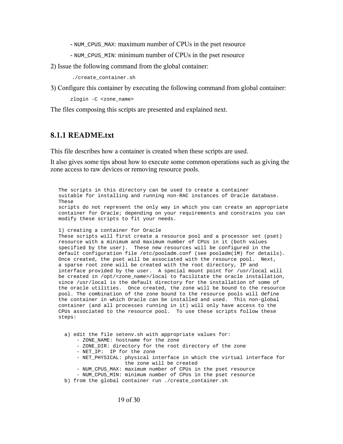- NUM CPUS MAX: maximum number of CPUs in the pset resource

- NUM\_CPUS\_MIN: minimum number of CPUs in the pset resource

2) Issue the following command from the global container:

./create\_container.sh

3) Configure this container by executing the following command from global container:

zlogin -C <zone\_name>

The files composing this scripts are presented and explained next.

#### **8.1.1 README.txt**

This file describes how a container is created when these scripts are used.

It also gives some tips about how to execute some common operations such as giving the zone access to raw devices or removing resource pools.

The scripts in this directory can be used to create a container suitable for installing and running non-RAC instances of Oracle database. These scripts do not represent the only way in which you can create an appropriate container for Oracle; depending on your requirements and constrains you can modify these scripts to fit your needs.

1) creating a container for Oracle

These scripts will first create a resource pool and a processor set (pset) resource with a minimum and maximum number of CPUs in it (both values specified by the user). These new resources will be configured in the default configuration file /etc/pooladm.conf (see pooladm(1M) for details). Once created, the pset will be associated with the resource pool. Next, a sparse root zone will be created with the root directory, IP and interface provided by the user. A special mount point for /usr/local will be created in /opt/<zone\_name>/local to facilitate the oracle installation, since /usr/local is the default directory for the installation of some of the oracle utilities. Once created, the zone will be bound to the resource pool. The combination of the zone bound to the resource pools will define the container in which Oracle can be installed and used. This non-global container (and all processes running in it) will only have access to the CPUs associated to the resource pool. To use these scripts follow these steps:

 a) edit the file setenv.sh with appropriate values for: - ZONE\_NAME: hostname for the zone

- ZONE\_DIR: directory for the root directory of the zone
- NET\_IP: IP for the zone
- NET\_PHYSICAL: physical interface in which the virtual interface for the zone will be created
- NUM\_CPUS\_MAX: maximum number of CPUs in the pset resource
- NUM\_CPUS\_MIN: minimum number of CPUs in the pset resource
- b) from the global container run ./create\_container.sh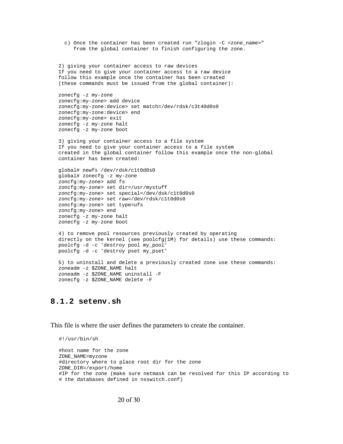```
c) Once the container has been created run "zlogin -C <zone name>"
      from the global container to finish configuring the zone. 
2) giving your container access to raw devices 
If you need to give your container access to a raw device
follow this example once the container has been created 
(these commands must be issued from the global container):
zonecfg -z my-zone
zonecfg:my-zone> add device
zonecfg:my-zone:device> set match=/dev/rdsk/c3t40d0s0
zonecfg:my-zone:device> end
zonecfg:my-zone> exit
zonecfg -z my-zone halt
zonecfg -z my-zone boot
3) giving your container access to a file system
If you need to give your container access to a file system
created in the global container follow this example once the non-global
container has been created:
global# newfs /dev/rdsk/c1t0d0s0
global# zonecfg -z my-zone
zoncfg:my-zone> add fs
zoncfg:my-zone> set dir=/usr/mystuff
zoncfg:my-zone> set special=/dev/dsk/c1t0d0s0
zoncfg:my-zone> set raw=/dev/rdsk/c1t0d0s0
zoncfg:my-zone> set type=ufs
zoncfg:my-zone> end
zonecfg -z my-zone halt
zonecfg -z my-zone boot
4) to remove pool resources previously created by operating
directly on the kernel (see poolcfg(1M) for details) use these commands:
poolcfg -d -c 'destroy pool my_pool'
poolcfg -d -c 'destroy pset my_pset'
5) to uninstall and delete a previously created zone use these commands:
zoneadm -z $ZONE_NAME halt
zoneadm -z $ZONE_NAME uninstall -F
zonecfg -z $ZONE_NAME delete -F
```
#### **8.1.2 setenv.sh**

This file is where the user defines the parameters to create the container.

```
#!/usr/bin/sh
#host name for the zone
ZONE_NAME=myzone
#directory where to place root dir for the zone
ZONE_DIR=/export/home
#IP for the zone (make sure netmask can be resolved for this IP according to 
# the databases defined in nsswitch.conf)
```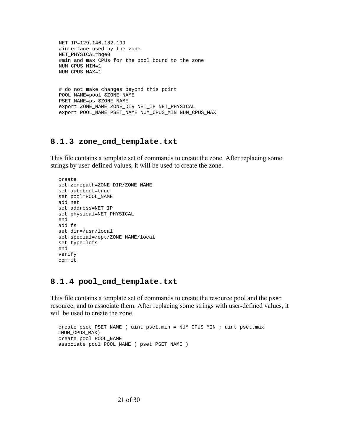```
NET IP=129.146.182.199
#interface used by the zone
NET_PHYSICAL=bge0
#min and max CPUs for the pool bound to the zone
NUM_CPUS_MIN=1
NUM_CPUS_MAX=1
# do not make changes beyond this point
POOL_NAME=pool_$ZONE_NAME
PSET_NAME=ps_$ZONE_NAME
export ZONE_NAME ZONE_DIR NET_IP NET_PHYSICAL
export POOL_NAME PSET_NAME NUM_CPUS_MIN NUM_CPUS_MAX
```
#### **8.1.3 zone\_cmd\_template.txt**

This file contains a template set of commands to create the zone. After replacing some strings by user-defined values, it will be used to create the zone.

```
create 
set zonepath=ZONE_DIR/ZONE_NAME
set autoboot=true
set pool=POOL_NAME
add net
set address=NET_IP
set physical=NET_PHYSICAL
end
add fs
set dir=/usr/local
set special=/opt/ZONE_NAME/local
set type=lofs
end
verify
commit
```
#### **8.1.4 pool\_cmd\_template.txt**

This file contains a template set of commands to create the resource pool and the pset resource, and to associate them. After replacing some strings with user-defined values, it will be used to create the zone.

```
create pset PSET_NAME ( uint pset.min = NUM_CPUS_MIN ; uint pset.max
=NUM_CPUS_MAX)
create pool POOL_NAME
associate pool POOL_NAME ( pset PSET_NAME )
```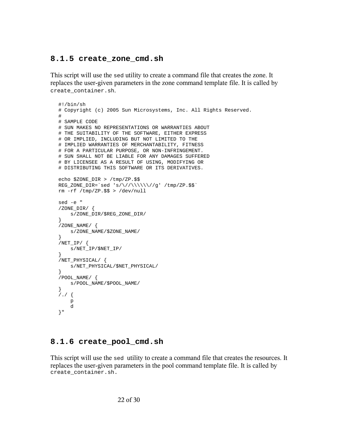#### **8.1.5 create\_zone\_cmd.sh**

This script will use the sed utility to create a command file that creates the zone. It replaces the user-given parameters in the zone command template file. It is called by create\_container.sh.

```
#!/bin/sh
# Copyright (c) 2005 Sun Microsystems, Inc. All Rights Reserved.
#
# SAMPLE CODE
# SUN MAKES NO REPRESENTATIONS OR WARRANTIES ABOUT
# THE SUITABILITY OF THE SOFTWARE, EITHER EXPRESS
# OR IMPLIED, INCLUDING BUT NOT LIMITED TO THE
# IMPLIED WARRANTIES OF MERCHANTABILITY, FITNESS
# FOR A PARTICULAR PURPOSE, OR NON-INFRINGEMENT.
# SUN SHALL NOT BE LIABLE FOR ANY DAMAGES SUFFERED
# BY LICENSEE AS A RESULT OF USING, MODIFYING OR
# DISTRIBUTING THIS SOFTWARE OR ITS DERIVATIVES.
echo $ZONE_DIR > /tmp/ZP.$$
REG_ZONE_DIR='sed 's/\\//\\\\/\\\/\\\/\g' /tmp/ZP.\rm -rf /tmp/ZP.$$ > /dev/null
sed -e "
/ZONE_DIR/ {
    s/ZONE_DIR/$REG_ZONE_DIR/
}
/ZONE_NAME/ {
    s/ZONE_NAME/$ZONE_NAME/
}
/NET\_IP/ {
    s/NET_IP/$NET_IP/
}
/NET_PHYSICAL/ {
     s/NET_PHYSICAL/$NET_PHYSICAL/
}
/POOL_NAME/ {
     s/POOL_NAME/$POOL_NAME/
}
/./ {
     p
     d
}"
```
#### **8.1.6 create\_pool\_cmd.sh**

This script will use the sed utility to create a command file that creates the resources. It replaces the user-given parameters in the pool command template file. It is called by create\_container.sh.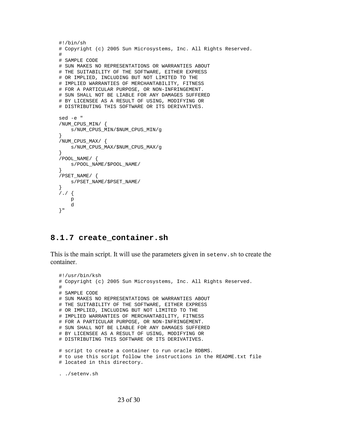```
#!/bin/sh
# Copyright (c) 2005 Sun Microsystems, Inc. All Rights Reserved.
#
# SAMPLE CODE
# SUN MAKES NO REPRESENTATIONS OR WARRANTIES ABOUT
# THE SUITABILITY OF THE SOFTWARE, EITHER EXPRESS
# OR IMPLIED, INCLUDING BUT NOT LIMITED TO THE
# IMPLIED WARRANTIES OF MERCHANTABILITY, FITNESS
# FOR A PARTICULAR PURPOSE, OR NON-INFRINGEMENT.
# SUN SHALL NOT BE LIABLE FOR ANY DAMAGES SUFFERED
# BY LICENSEE AS A RESULT OF USING, MODIFYING OR
# DISTRIBUTING THIS SOFTWARE OR ITS DERIVATIVES.
sed -e "
/NUM_CPUS_MIN/ {
    s/NUM_CPUS_MIN/$NUM_CPUS_MIN/g
}
/NUM_CPUS_MAX/ {
    s/NUM_CPUS_MAX/$NUM_CPUS_MAX/g
}
/POOL_NAME/ {
    s/POOL_NAME/$POOL_NAME/
}
/PSET_NAME/ {
    s/PSET_NAME/$PSET_NAME/
}
7.7f p
    d
}"
```
#### **8.1.7 create\_container.sh**

This is the main script. It will use the parameters given in setenv.sh to create the container.

```
#!/usr/bin/ksh
# Copyright (c) 2005 Sun Microsystems, Inc. All Rights Reserved.
#
# SAMPLE CODE
# SUN MAKES NO REPRESENTATIONS OR WARRANTIES ABOUT
# THE SUITABILITY OF THE SOFTWARE, EITHER EXPRESS
# OR IMPLIED, INCLUDING BUT NOT LIMITED TO THE
# IMPLIED WARRANTIES OF MERCHANTABILITY, FITNESS
# FOR A PARTICULAR PURPOSE, OR NON-INFRINGEMENT.
# SUN SHALL NOT BE LIABLE FOR ANY DAMAGES SUFFERED
# BY LICENSEE AS A RESULT OF USING, MODIFYING OR
# DISTRIBUTING THIS SOFTWARE OR ITS DERIVATIVES.
# script to create a container to run oracle RDBMS.
# to use this script follow the instructions in the README.txt file
# located in this directory.
. ./setenv.sh
```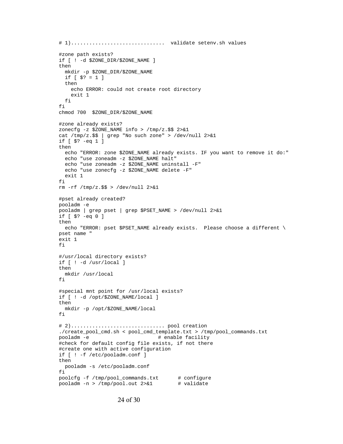```
# 1)............................... validate setenv.sh values
#zone path exists?
if [ ! -d $ZONE DIR/$ZONE NAME ]
then
  mkdir -p $ZONE_DIR/$ZONE_NAME
 if [ $? = 1 ] then
    echo ERROR: could not create root directory
    exit 1
  fi
fi
chmod 700 $ZONE_DIR/$ZONE_NAME
#zone already exists?
zonecfg -z $ZONE_NAME info > /tmp/z.$$ 2>&1
cat /tmp/z.$$ | grep "No such zone" > /dev/null 2>&1
if [ $? -eq 1 ]
then
  echo "ERROR: zone $ZONE_NAME already exists. IF you want to remove it do:"
  echo "use zoneadm -z $ZONE_NAME halt"
  echo "use zoneadm -z $ZONE_NAME uninstall -F"
  echo "use zonecfg -z $ZONE_NAME delete -F"
  exit 1
fi
rm -rf /tmp/z.$$ > /dev/null 2>&1
#pset already created?
pooladm -e
pooladm | grep pset | grep $PSET_NAME > /dev/null 2>&1
if [ $? -eq 0 ]
then
   echo "ERROR: pset $PSET_NAME already exists. Please choose a different \
pset name " 
exit 1
fi
#/usr/local directory exists?
if [ ! -d /usr/local ]
then
  mkdir /usr/local
fi
#special mnt point for /usr/local exists?
if [ ! -d /opt/$ZONE_NAME/local ]
then
  mkdir -p /opt/$ZONE_NAME/local
fi
# 2)............................... pool creation
./create_pool_cmd.sh < pool_cmd_template.txt > /tmp/pool_commands.txt
pooladm -e \qquad # enable facility
#check for default config file exists, if not there
#create one with active configuration
if [ ! -f /etc/pooladm.conf ]
then
  pooladm -s /etc/pooladm.conf
fi
poolcfg -f /tmp/pool_commands.txt # configure
pooladm -n > /tmp/pool.out 2>&1 # validate
```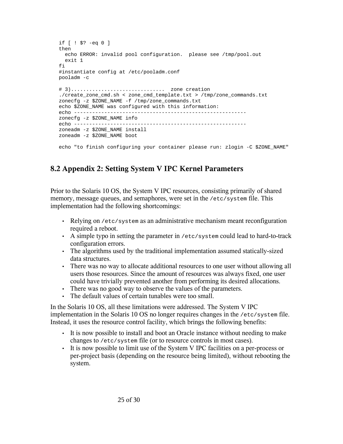```
if [ ! $? -eq 0 ]
then
  echo ERROR: invalid pool configuration. please see /tmp/pool.out
  exit 1
fi
#instantiate config at /etc/pooladm.conf
pooladm -c
# 3)............................... zone creation
./create_zone_cmd.sh < zone_cmd_template.txt > /tmp/zone_commands.txt
zonecfg -z $ZONE_NAME -f /tmp/zone_commands.txt
echo $ZONE NAME was configured with this information:
echo ---------------------------------------------------------
zonecfg -z $ZONE_NAME info
echo ---------------------------------------------------------
zoneadm -z $ZONE_NAME install
zoneadm -z $ZONE_NAME boot
echo "to finish configuring your container please run: zlogin -C $ZONE NAME"
```
## **8.2 Appendix 2: Setting System V IPC Kernel Parameters**

Prior to the Solaris 10 OS, the System V IPC resources, consisting primarily of shared memory, message queues, and semaphores, were set in the /etc/system file. This implementation had the following shortcomings:

- Relying on /etc/system as an administrative mechanism meant reconfiguration required a reboot.
- A simple typo in setting the parameter in  $/etc/system$  could lead to hard-to-track configuration errors.
- The algorithms used by the traditional implementation assumed statically-sized data structures.
- There was no way to allocate additional resources to one user without allowing all users those resources. Since the amount of resources was always fixed, one user could have trivially prevented another from performing its desired allocations.
- There was no good way to observe the values of the parameters.
- The default values of certain tunables were too small.

In the Solaris 10 OS, all these limitations were addressed. The System V IPC implementation in the Solaris 10 OS no longer requires changes in the /etc/system file. Instead, it uses the resource control facility, which brings the following benefits:

- It is now possible to install and boot an Oracle instance without needing to make changes to /etc/system file (or to resource controls in most cases).
- It is now possible to limit use of the System V IPC facilities on a per-process or per-project basis (depending on the resource being limited), without rebooting the system.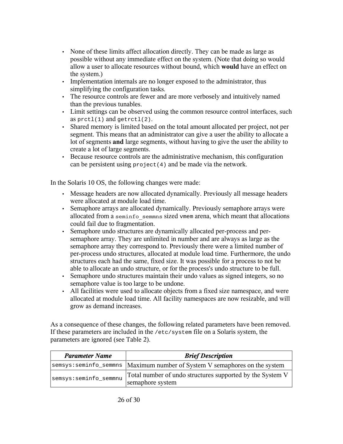- None of these limits affect allocation directly. They can be made as large as possible without any immediate effect on the system. (Note that doing so would allow a user to allocate resources without bound, which **would** have an effect on the system.)
- Implementation internals are no longer exposed to the administrator, thus simplifying the configuration tasks.
- The resource controls are fewer and are more verbosely and intuitively named than the previous tunables.
- Limit settings can be observed using the common resource control interfaces, such as  $pret1(1)$  and  $qetrct1(2)$ .
- Shared memory is limited based on the total amount allocated per project, not per segment. This means that an administrator can give a user the ability to allocate a lot of segments **and** large segments, without having to give the user the ability to create a lot of large segments.
- Because resource controls are the administrative mechanism, this configuration can be persistent using project(4) and be made via the network.

In the Solaris 10 OS, the following changes were made:

- Message headers are now allocated dynamically. Previously all message headers were allocated at module load time.
- Semaphore arrays are allocated dynamically. Previously semaphore arrays were allocated from a seminfo\_semmns sized vmem arena, which meant that allocations could fail due to fragmentation.
- Semaphore undo structures are dynamically allocated per-process and persemaphore array. They are unlimited in number and are always as large as the semaphore array they correspond to. Previously there were a limited number of per-process undo structures, allocated at module load time. Furthermore, the undo structures each had the same, fixed size. It was possible for a process to not be able to allocate an undo structure, or for the process's undo structure to be full.
- Semaphore undo structures maintain their undo values as signed integers, so no semaphore value is too large to be undone.
- All facilities were used to allocate objects from a fixed size namespace, and were allocated at module load time. All facility namespaces are now resizable, and will grow as demand increases.

As a consequence of these changes, the following related parameters have been removed. If these parameters are included in the /etc/system file on a Solaris system, the parameters are ignored (see Table 2).

| <b>Parameter Name</b> | <b>Brief Description</b>                                                      |  |  |
|-----------------------|-------------------------------------------------------------------------------|--|--|
|                       | semsys: seminfo_semmns   Maximum number of System V semaphores on the system  |  |  |
| semsys:seminfo_semmnu | Total number of undo structures supported by the System V<br>semaphore system |  |  |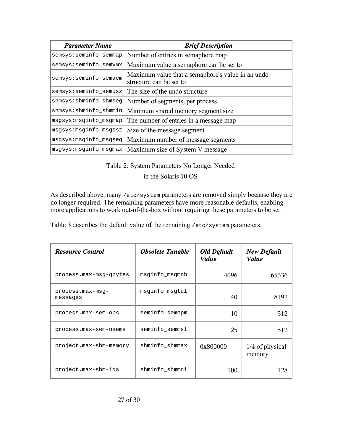| <b>Parameter Name</b>  | <b>Brief Description</b>                                                     |
|------------------------|------------------------------------------------------------------------------|
| semsys: seminfo_semmap | Number of entries in semaphore map                                           |
| semsys:seminfo_semvmx  | Maximum value a semaphore can be set to                                      |
| semsys:seminfo_semaem  | Maximum value that a semaphore's value in an undo<br>structure can be set to |
| semsys:seminfo_semusz  | The size of the undo structure                                               |
| shmsys:shminfo_shmseg  | Number of segments, per process                                              |
| shmsys:shminfo_shmmin  | Minimum shared memory segment size                                           |
| msgsys: msginfo_msgmap | The number of entries in a message map                                       |
| msgsys: msginfo_msgssz | Size of the message segment                                                  |
| msgsys: msginfo_msgseg | Maximum number of message segments                                           |
| msgsys: msginfo_msgmax | Maximum size of System V message                                             |

Table 2: System Parameters No Longer Needed

in the Solaris 10 OS

As described above, many /etc/system parameters are removed simply because they are no longer required. The remaining parameters have more reasonable defaults, enabling more applications to work out-of-the-box without requiring these parameters to be set.

Table 3 describes the default value of the remaining /etc/system parameters.

| <b>Resource Control</b>      | <b>Obsolete Tunable</b> | <b>Old Default</b><br><i>Value</i> | <b>New Default</b><br>Value |
|------------------------------|-------------------------|------------------------------------|-----------------------------|
| process.max-msq-qbytes       | msginfo msgmnb          | 4096                               | 65536                       |
| process.max-msq-<br>messages | msginfo_msgtql          | 40                                 | 8192                        |
| process.max-sem-ops          | seminfo_semopm          | 10                                 | 512                         |
| process.max-sem-nsems        | seminfo_semmsl          | 25                                 | 512                         |
| project.max-shm-memory       | shminfo_shmmax          | 0x800000                           | $1/4$ of physical<br>memory |
| project.max-shm-ids          | shminfo_shmmni          | 100                                | 128                         |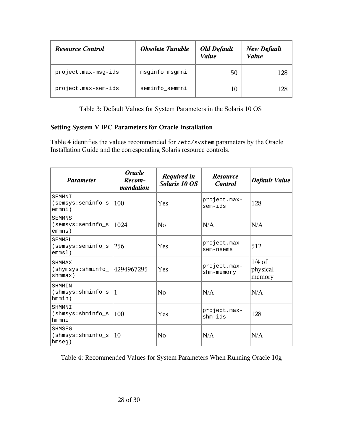| <b>Resource Control</b> | <b>Obsolete Tunable</b> | <b>Old Default</b><br><b>Value</b> | <b>New Default</b><br><b>Value</b> |
|-------------------------|-------------------------|------------------------------------|------------------------------------|
| project.max-msq-ids     | msginfo_msgmni          | 50                                 | 128                                |
| project.max-sem-ids     | seminfo_semmni          |                                    | 128                                |

Table 3: Default Values for System Parameters in the Solaris 10 OS

#### **Setting System V IPC Parameters for Oracle Installation**

Table 4 identifies the values recommended for /etc/system parameters by the Oracle Installation Guide and the corresponding Solaris resource controls.

| <b>Parameter</b>                                               | <b>Oracle</b><br>Recom-<br>mendation | <b>Required in</b><br>Solaris 10 OS | <b>Resource</b><br><b>Control</b> | <b>Default Value</b>           |
|----------------------------------------------------------------|--------------------------------------|-------------------------------------|-----------------------------------|--------------------------------|
| SEMMNI<br>(semsys:seminfo_s<br>emmni)                          | 100                                  | Yes                                 | project.max-<br>sem-ids           | 128                            |
| <b>SEMMNS</b><br>(semsys: seminfo s<br>emmns)                  | 1024                                 | N <sub>0</sub>                      | N/A                               | N/A                            |
| SEMMSL<br>(semsys:seminfo_s<br>emms1)                          | 256                                  | Yes                                 | project.max-<br>sem-nsems         | 512                            |
| <b>SHMMAX</b><br>$(s$ hymsys: shminfo $ 4294967295$<br>shmmax) |                                      | Yes                                 | project.max-<br>shm-memory        | $1/4$ of<br>physical<br>memory |
| SHMMIN<br>(shmsys:shminfo_s<br>hmmin)                          | 11                                   | N <sub>0</sub>                      | N/A                               | N/A                            |
| SHMMNI<br>(shmsys:shminfo_s<br>hmmni                           | 100                                  | Yes                                 | project.max-<br>$shm-ids$         | 128                            |
| <b>SHMSEG</b><br>$(s)$ hmsys: $shminfo$ s<br>hmseq)            | 10                                   | N <sub>0</sub>                      | N/A                               | N/A                            |

Table 4: Recommended Values for System Parameters When Running Oracle 10g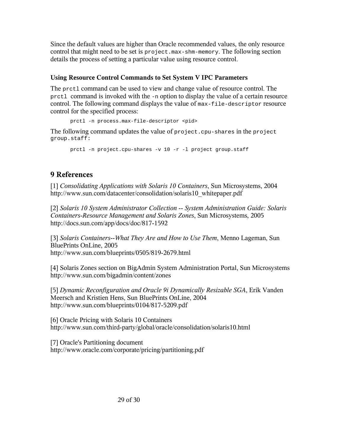Since the default values are higher than Oracle recommended values, the only resource control that might need to be set is project.max-shm-memory. The following section details the process of setting a particular value using resource control.

#### **Using Resource Control Commands to Set System V IPC Parameters**

The prctl command can be used to view and change value of resource control. The prctl command is invoked with the -n option to display the value of a certain resource control. The following command displays the value of max-file-descriptor resource control for the specified process:

prctl -n process.max-file-descriptor <pid>

The following command updates the value of project.cpu-shares in the project group.staff:

prctl -n project.cpu-shares -v 10 -r -l project group.staff

## **9 References**

[1] *Consolidating Applications with Solaris 10 Containers*, Sun Microsystems, 2004 http://www.sun.com/datacenter/consolidation/solaris10\_whitepaper.pdf

[2] *Solaris 10 System Administrator Collection -- System Administration Guide: Solaris Containers-Resource Management and Solaris Zones*, Sun Microsystems, 2005 http://docs.sun.com/app/docs/doc/817-1592

[3] *Solaris Containers--What They Are and How to Use Them*, Menno Lageman, Sun BluePrints OnLine, 2005 http://www.sun.com/blueprints/0505/819-2679.html

[4] Solaris Zones section on BigAdmin System Administration Portal, Sun Microsystems http://www.sun.com/bigadmin/content/zones

[5] *Dynamic Reconfiguration and Oracle 9i Dynamically Resizable SGA*, Erik Vanden Meersch and Kristien Hens, Sun BluePrints OnLine, 2004 http://www.sun.com/blueprints/0104/817-5209.pdf

[6] Oracle Pricing with Solaris 10 Containers http://www.sun.com/third-party/global/oracle/consolidation/solaris10.html

[7] Oracle's Partitioning document http://www.oracle.com/corporate/pricing/partitioning.pdf